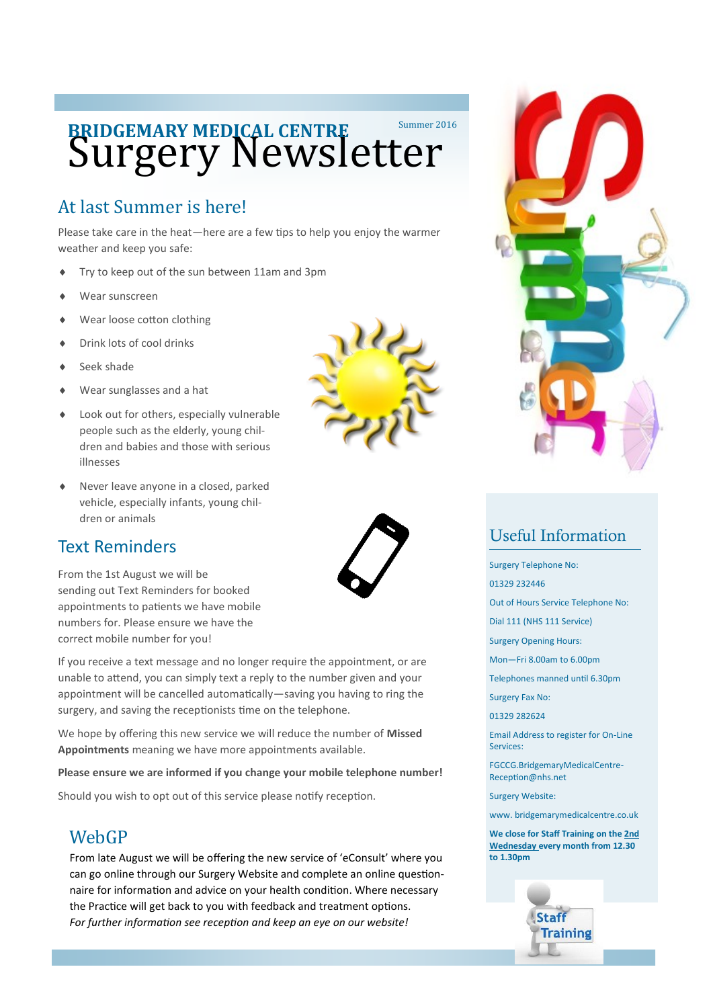# **BRIDGEMARY MEDICAL CENTRE** Summer 2016

## At last Summer is here!

Please take care in the heat—here are a few tips to help you enjoy the warmer weather and keep you safe:

- Try to keep out of the sun between 11am and 3pm
- Wear sunscreen
- Wear loose cotton clothing
- Drink lots of cool drinks
- Seek shade
- Wear sunglasses and a hat
- Look out for others, especially vulnerable people such as the elderly, young children and babies and those with serious illnesses
- Never leave anyone in a closed, parked vehicle, especially infants, young children or animals

#### Text Reminders

From the 1st August we will be sending out Text Reminders for booked appointments to patients we have mobile numbers for. Please ensure we have the correct mobile number for you!

If you receive a text message and no longer require the appointment, or are unable to attend, you can simply text a reply to the number given and your appointment will be cancelled automatically—saving you having to ring the surgery, and saving the receptionists time on the telephone.

We hope by offering this new service we will reduce the number of **Missed Appointments** meaning we have more appointments available.

**Please ensure we are informed if you change your mobile telephone number!**

Should you wish to opt out of this service please notify reception.

#### **WebGP**

From late August we will be offering the new service of 'eConsult' where you can go online through our Surgery Website and complete an online questionnaire for information and advice on your health condition. Where necessary the Practice will get back to you with feedback and treatment options. *For further information see reception and keep an eye on our website!*







### Useful Information

Surgery Telephone No:

01329 232446

Out of Hours Service Telephone No:

Dial 111 (NHS 111 Service)

Surgery Opening Hours:

Mon—Fri 8.00am to 6.00pm

Telephones manned until 6.30pm

Surgery Fax No:

01329 282624

Email Address to register for On-Line Services:

FGCCG.BridgemaryMedicalCentre-Reception@nhs.net

Surgery Website:

www. bridgemarymedicalcentre.co.uk

**We close for Staff Training on the 2nd Wednesday every month from 12.30 to 1.30pm**